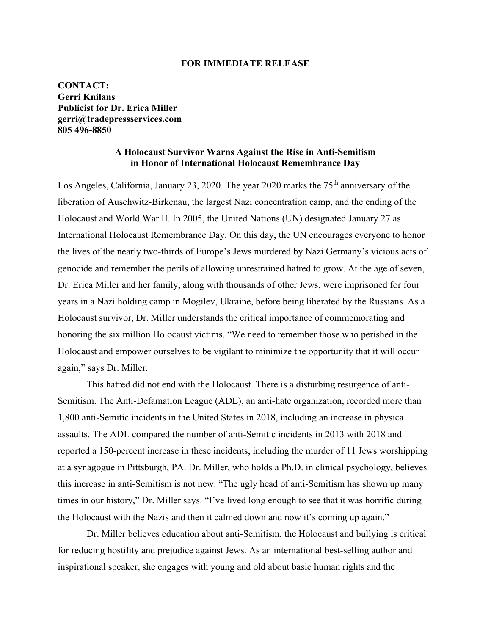## **FOR IMMEDIATE RELEASE**

**CONTACT: Gerri Knilans Publicist for Dr. Erica Miller gerri@tradepressservices.com 805 496-8850**

## **A Holocaust Survivor Warns Against the Rise in Anti-Semitism in Honor of International Holocaust Remembrance Day**

Los Angeles, California, January 23, 2020. The year 2020 marks the 75<sup>th</sup> anniversary of the liberation of Auschwitz-Birkenau, the largest Nazi concentration camp, and the ending of the Holocaust and World War II. In 2005, the United Nations (UN) designated January 27 as International Holocaust Remembrance Day. On this day, the UN encourages everyone to honor the lives of the nearly two-thirds of Europe's Jews murdered by Nazi Germany's vicious acts of genocide and remember the perils of allowing unrestrained hatred to grow. At the age of seven, Dr. Erica Miller and her family, along with thousands of other Jews, were imprisoned for four years in a Nazi holding camp in Mogilev, Ukraine, before being liberated by the Russians. As a Holocaust survivor, Dr. Miller understands the critical importance of commemorating and honoring the six million Holocaust victims. "We need to remember those who perished in the Holocaust and empower ourselves to be vigilant to minimize the opportunity that it will occur again," says Dr. Miller.

 This hatred did not end with the Holocaust. There is a disturbing resurgence of anti-Semitism. The Anti-Defamation League (ADL), an anti-hate organization, recorded more than 1,800 anti-Semitic incidents in the United States in 2018, including an increase in physical assaults. The ADL compared the number of anti-Semitic incidents in 2013 with 2018 and reported a 150-percent increase in these incidents, including the murder of 11 Jews worshipping at a synagogue in Pittsburgh, PA. Dr. Miller, who holds a Ph.D. in clinical psychology, believes this increase in anti-Semitism is not new. "The ugly head of anti-Semitism has shown up many times in our history," Dr. Miller says. "I've lived long enough to see that it was horrific during the Holocaust with the Nazis and then it calmed down and now it's coming up again."

 Dr. Miller believes education about anti-Semitism, the Holocaust and bullying is critical for reducing hostility and prejudice against Jews. As an international best-selling author and inspirational speaker, she engages with young and old about basic human rights and the